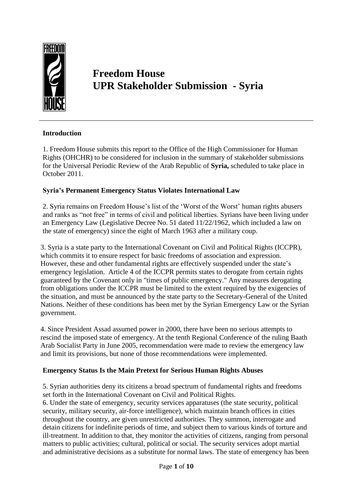

# **Freedom House UPR Stakeholder Submission - Syria**

## **Introduction**

1. Freedom House submits this report to the Office of the High Commissioner for Human Rights (OHCHR) to be considered for inclusion in the summary of stakeholder submissions for the Universal Periodic Review of the Arab Republic of **Syria,** scheduled to take place in October 2011.

### **Syria's Permanent Emergency Status Violates International Law**

2. Syria remains on Freedom House's list of the 'Worst of the Worst' human rights abusers and ranks as "not free" in terms of civil and political liberties. Syrians have been living under an Emergency Law (Legislative Decree No. 51 dated 11/22/1962, which included a law on the state of emergency) since the eight of March 1963 after a military coup.

3. Syria is a state party to the International Covenant on Civil and Political Rights (ICCPR), which commits it to ensure respect for basic freedoms of association and expression. However, these and other fundamental rights are effectively suspended under the state's emergency legislation. Article 4 of the ICCPR permits states to derogate from certain rights guaranteed by the Covenant only in "times of public emergency." Any measures derogating from obligations under the ICCPR must be limited to the extent required by the exigencies of the situation, and must be announced by the state party to the Secretary-General of the United Nations. Neither of these conditions has been met by the Syrian Emergency Law or the Syrian government.

4. Since President Assad assumed power in 2000, there have been no serious attempts to rescind the imposed state of emergency. At the tenth Regional Conference of the ruling Baath Arab Socialist Party in June 2005, recommendation were made to review the emergency law and limit its provisions, but none of those recommendations were implemented.

## **Emergency Status Is the Main Pretext for Serious Human Rights Abuses**

5. Syrian authorities deny its citizens a broad spectrum of fundamental rights and freedoms set forth in the International Covenant on Civil and Political Rights.

6. Under the state of emergency, security services apparatuses (the state security, political security, military security, air-force intelligence), which maintain branch offices in cities throughout the country, are given unrestricted authorities. They summon, interrogate and detain citizens for indefinite periods of time, and subject them to various kinds of torture and ill-treatment. In addition to that, they monitor the activities of citizens, ranging from personal matters to public activities; cultural, political or social. The security services adopt martial and administrative decisions as a substitute for normal laws. The state of emergency has been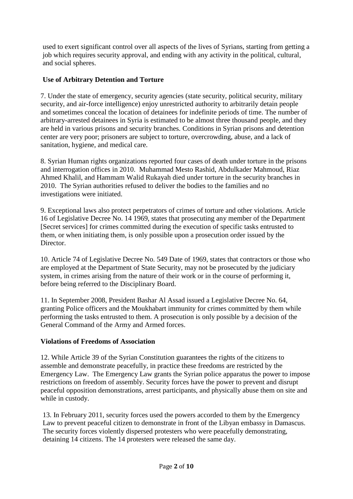used to exert significant control over all aspects of the lives of Syrians, starting from getting a job which requires security approval, and ending with any activity in the political, cultural, and social spheres.

# **Use of Arbitrary Detention and Torture**

7. Under the state of emergency, security agencies (state security, political security, military security, and air-force intelligence) enjoy unrestricted authority to arbitrarily detain people and sometimes conceal the location of detainees for indefinite periods of time. The number of arbitrary-arrested detainees in Syria is estimated to be almost three thousand people, and they are held in various prisons and security branches. Conditions in Syrian prisons and detention center are very poor; prisoners are subject to torture, overcrowding, abuse, and a lack of sanitation, hygiene, and medical care.

8. Syrian Human rights organizations reported four cases of death under torture in the prisons and interrogation offices in 2010. Muhammad Mesto Rashid, Abdulkader Mahmoud, Riaz Ahmed Khalil, and Hammam Walid Rukayah died under torture in the security branches in 2010. The Syrian authorities refused to deliver the bodies to the families and no investigations were initiated.

9. Exceptional laws also protect perpetrators of crimes of torture and other violations. Article 16 of Legislative Decree No. 14 1969, states that prosecuting any member of the Department [Secret services] for crimes committed during the execution of specific tasks entrusted to them, or when initiating them, is only possible upon a prosecution order issued by the Director.

10. Article 74 of Legislative Decree No. 549 Date of 1969, states that contractors or those who are employed at the Department of State Security, may not be prosecuted by the judiciary system, in crimes arising from the nature of their work or in the course of performing it, before being referred to the Disciplinary Board.

11. In September 2008, President Bashar Al Assad issued a Legislative Decree No. 64, granting Police officers and the Moukhabart immunity for crimes committed by them while performing the tasks entrusted to them. A prosecution is only possible by a decision of the General Command of the Army and Armed forces.

## **Violations of Freedoms of Association**

12. While Article 39 of the Syrian Constitution guarantees the rights of the citizens to assemble and demonstrate peacefully, in practice these freedoms are restricted by the Emergency Law. The Emergency Law grants the Syrian police apparatus the power to impose restrictions on freedom of assembly. Security forces have the power to prevent and disrupt peaceful opposition demonstrations, arrest participants, and physically abuse them on site and while in custody.

13. In February 2011, security forces used the powers accorded to them by the Emergency Law to prevent peaceful citizen to demonstrate in front of the Libyan embassy in Damascus. The security forces violently dispersed protesters who were peacefully demonstrating, detaining 14 citizens. The 14 protesters were released the same day.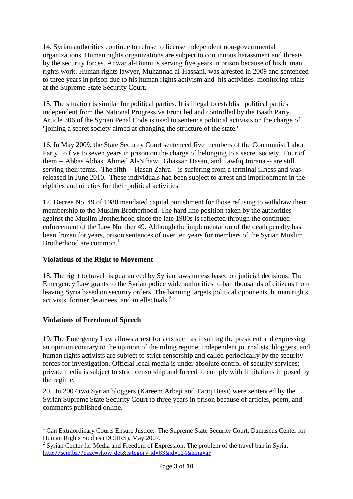14. Syrian authorities continue to refuse to license independent non-governmental organizations. Human rights organizations are subject to continuous harassment and threats by the security forces. Anwar al-Bunni is serving five years in prison because of his human rights work. Human rights lawyer, Muhannad al-Hassani, was arrested in 2009 and sentenced to three years in prison due to his human rights activism and his activities monitoring trials at the Supreme State Security Court.

15. The situation is similar for political parties. It is illegal to establish political parties independent from the National Progressive Front led and controlled by the Baath Party. Article 306 of the Syrian Penal Code is used to sentence political activists on the charge of "joining a secret society aimed at changing the structure of the state."

16. In May 2009, the State Security Court sentenced five members of the Communist Labor Party to five to seven years in prison on the charge of belonging to a secret society. Four of them -- Abbas Abbas, Ahmed Al-Nihawi, Ghassan Hasan, and Tawfiq Imrana -- are still serving their terms. The fifth -- Hasan Zahra – is suffering from a terminal illness and was released in June 2010. These individuals had been subject to arrest and imprisonment in the eighties and nineties for their political activities.

17. Decree No. 49 of 1980 mandated capital punishment for those refusing to withdraw their membership to the Muslim Brotherhood. The hard line position taken by the authorities against the Muslim Brotherhood since the late 1980s is reflected through the continued enforcement of the Law Number 49. Although the implementation of the death penalty has been frozen for years, prison sentences of over ten years for members of the Syrian Muslim Brotherhood are common. 1

## **Violations of the Right to Movement**

18. The right to travel is guaranteed by Syrian laws unless based on judicial decisions. The Emergency Law grants to the Syrian police wide authorities to ban thousands of citizens from leaving Syria based on security orders. The banning targets political opponents, human rights activists, former detainees, and intellectuals. 2

## **Violations of Freedom of Speech**

<u>.</u>

19. The Emergency Law allows arrest for acts such as insulting the president and expressing an opinion contrary to the opinion of the ruling regime. Independent journalists, bloggers, and human rights activists are subject to strict censorship and called periodically by the security forces for investigation. Official local media is under absolute control of security services; private media is subject to strict censorship and forced to comply with limitations imposed by the regime.

20. In 2007 two Syrian bloggers (Kareem Arbaji and Tariq Biasi) were sentenced by the Syrian Supreme State Security Court to three years in prison because of articles, poem, and comments published online.

<sup>&</sup>lt;sup>1</sup> Can Extraordinary Courts Ensure Justice: The Supreme State Security Court, Damascus Center for Human Rights Studies (DCHRS), May 2007.

<sup>&</sup>lt;sup>2</sup> Syrian Center for Media and Freedom of Expression, The problem of the travel ban in Syria, [http://scm.bz/?page=show\\_det&category\\_id=83&id=124&lang=ar](http://scm.bz/?page=show_det&category_id=83&id=124&lang=ar)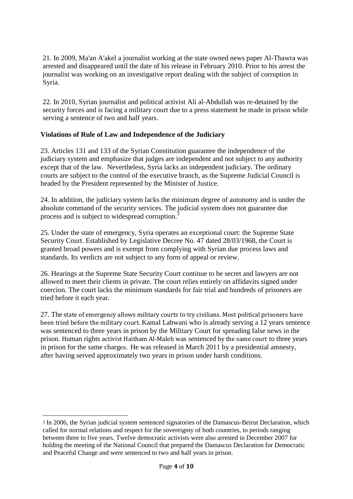21. In 2009, Ma'an A'akel a journalist working at the state owned news paper Al-Thawra was arrested and disappeared until the date of his release in February 2010. Prior to his arrest the journalist was working on an investigative report dealing with the subject of corruption in Syria.

22. In 2010, Syrian journalist and political activist Ali al-Abdullah was re-detained by the security forces and is facing a military court due to a press statement he made in prison while serving a sentence of two and half years.

#### **Violations of Rule of Law and Independence of the Judiciary**

23. Articles 131 and 133 of the Syrian Constitution guarantee the independence of the judiciary system and emphasize that judges are independent and not subject to any authority except that of the law. Nevertheless, Syria lacks an independent judiciary. The ordinary courts are subject to the control of the executive branch, as the Supreme Judicial Council is headed by the President represented by the Minister of Justice.

24. In addition, the judiciary system lacks the minimum degree of autonomy and is under the absolute command of the security services. The judicial system does not guarantee due process and is subject to widespread corruption.<sup>3</sup>

25. Under the state of emergency, Syria operates an exceptional court: the Supreme State Security Court. Established by Legislative Decree No. 47 dated 28/03/1968, the Court is granted broad powers and is exempt from complying with Syrian due process laws and standards. Its verdicts are not subject to any form of appeal or review.

26. Hearings at the Supreme State Security Court continue to be secret and lawyers are not allowed to meet their clients in private. The court relies entirely on affidavits signed under coercion. The court lacks the minimum standards for fair trial and hundreds of prisoners are tried before it each year.

27. The state of emergency allows military courts to try civilians. Most political prisoners have been tried before the military court. Kamal Labwani who is already serving a 12 years sentence was sentenced to three years in prison by the Military Court for spreading false news in the prison. Human rights activist Haitham Al-Maleh was sentenced by the same court to three years in prison for the same charges. He was released in March 2011 by a presidential amnesty, after having served approximately two years in prison under harsh conditions.

<u>.</u>

<sup>3</sup> In 2006, the Syrian judicial system sentenced signatories of the Damascus-Beirut Declaration, which called for normal relations and respect for the sovereignty of both countries, to periods ranging between three to five years. Twelve democratic activists were also arrested in December 2007 for holding the meeting of the National Council that prepared the Damascus Declaration for Democratic and Peaceful Change and were sentenced to two and half years in prison.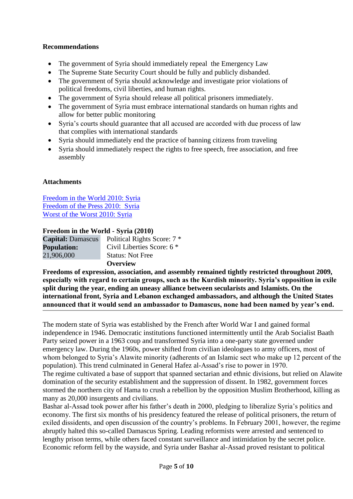### **Recommendations**

- The government of Syria should immediately repeal the Emergency Law
- The Supreme State Security Court should be fully and publicly disbanded.
- The government of Syria should acknowledge and investigate prior violations of political freedoms, civil liberties, and human rights.
- The government of Syria should release all political prisoners immediately.
- The government of Syria must embrace international standards on human rights and allow for better public monitoring
- Syria's courts should guarantee that all accused are accorded with due process of law that complies with international standards
- Syria should immediately end the practice of banning citizens from traveling
- Syria should immediately respect the rights to free speech, free association, and free assembly

#### **Attachments**

[Freedom in the World 2010: Syria](http://www.freedomhouse.org/template.cfm?page=22&year=2010&country=7928) [Freedom of the Press 2010: Syria](http://www.freedomhouse.org/inc/content/pubs/pfs/inc_country_detail.cfm?country=7928&year=2010&pf) [Worst of the Worst 2010: Syria](http://www.freedomhouse.org/uploads/special_report/88.pdf)

#### **Freedom in the World - Syria (2010)**

| <b>Capital:</b> Damascus | Political Rights Score: 7 * |
|--------------------------|-----------------------------|
| <b>Population:</b>       | Civil Liberties Score: 6 *  |
| 21,906,000               | <b>Status: Not Free</b>     |
|                          | <b>Overview</b>             |

**Freedoms of expression, association, and assembly remained tightly restricted throughout 2009, especially with regard to certain groups, such as the Kurdish minority. Syria's opposition in exile split during the year, ending an uneasy alliance between secularists and Islamists. On the international front, Syria and Lebanon exchanged ambassadors, and although the United States announced that it would send an ambassador to Damascus, none had been named by year's end.**

The modern state of Syria was established by the French after World War I and gained formal independence in 1946. Democratic institutions functioned intermittently until the Arab Socialist Baath Party seized power in a 1963 coup and transformed Syria into a one-party state governed under emergency law. During the 1960s, power shifted from civilian ideologues to army officers, most of whom belonged to Syria's Alawite minority (adherents of an Islamic sect who make up 12 percent of the population). This trend culminated in General Hafez al-Assad's rise to power in 1970. The regime cultivated a base of support that spanned sectarian and ethnic divisions, but relied on Alawite domination of the security establishment and the suppression of dissent. In 1982, government forces stormed the northern city of Hama to crush a rebellion by the opposition Muslim Brotherhood, killing as many as 20,000 insurgents and civilians.

Bashar al-Assad took power after his father's death in 2000, pledging to liberalize Syria's politics and economy. The first six months of his presidency featured the release of political prisoners, the return of exiled dissidents, and open discussion of the country's problems. In February 2001, however, the regime abruptly halted this so-called Damascus Spring. Leading reformists were arrested and sentenced to lengthy prison terms, while others faced constant surveillance and intimidation by the secret police. Economic reform fell by the wayside, and Syria under Bashar al-Assad proved resistant to political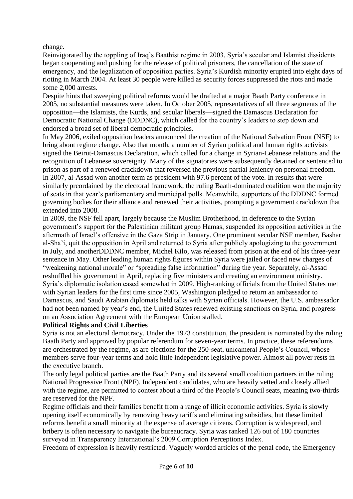change.

Reinvigorated by the toppling of Iraq's Baathist regime in 2003, Syria's secular and Islamist dissidents began cooperating and pushing for the release of political prisoners, the cancellation of the state of emergency, and the legalization of opposition parties. Syria's Kurdish minority erupted into eight days of rioting in March 2004. At least 30 people were killed as security forces suppressed the riots and made some 2,000 arrests.

Despite hints that sweeping political reforms would be drafted at a major Baath Party conference in 2005, no substantial measures were taken. In October 2005, representatives of all three segments of the opposition—the Islamists, the Kurds, and secular liberals—signed the Damascus Declaration for Democratic National Change (DDDNC), which called for the country's leaders to step down and endorsed a broad set of liberal democratic principles.

In May 2006, exiled opposition leaders announced the creation of the National Salvation Front (NSF) to bring about regime change. Also that month, a number of Syrian political and human rights activists signed the Beirut-Damascus Declaration, which called for a change in Syrian-Lebanese relations and the recognition of Lebanese sovereignty. Many of the signatories were subsequently detained or sentenced to prison as part of a renewed crackdown that reversed the previous partial leniency on personal freedom. In 2007, al-Assad won another term as president with 97.6 percent of the vote. In results that were similarly preordained by the electoral framework, the ruling Baath-dominated coalition won the majority of seats in that year's parliamentary and municipal polls. Meanwhile, supporters of the DDDNC formed governing bodies for their alliance and renewed their activities, prompting a government crackdown that extended into 2008.

In 2009, the NSF fell apart, largely because the Muslim Brotherhood, in deference to the Syrian government's support for the Palestinian militant group Hamas, suspended its opposition activities in the aftermath of Israel's offensive in the Gaza Strip in January. One prominent secular NSF member, Bashar al-Sha'i, quit the opposition in April and returned to Syria after publicly apologizing to the government in July, and anotherDDDNC member, Michel Kilo, was released from prison at the end of his three-year sentence in May. Other leading human rights figures within Syria were jailed or faced new charges of "weakening national morale" or "spreading false information" during the year. Separately, al-Assad reshuffled his government in April, replacing five ministers and creating an environment ministry. Syria's diplomatic isolation eased somewhat in 2009. High-ranking officials from the United States met with Syrian leaders for the first time since 2005, Washington pledged to return an ambassador to Damascus, and Saudi Arabian diplomats held talks with Syrian officials. However, the U.S. ambassador had not been named by year's end, the United States renewed existing sanctions on Syria, and progress on an Association Agreement with the European Union stalled.

#### **Political Rights and Civil Liberties**

Syria is not an electoral democracy. Under the 1973 constitution, the president is nominated by the ruling Baath Party and approved by popular referendum for seven-year terms. In practice, these referendums are orchestrated by the regime, as are elections for the 250-seat, unicameral People's Council, whose members serve four-year terms and hold little independent legislative power. Almost all power rests in the executive branch.

The only legal political parties are the Baath Party and its several small coalition partners in the ruling National Progressive Front (NPF). Independent candidates, who are heavily vetted and closely allied with the regime, are permitted to contest about a third of the People's Council seats, meaning two-thirds are reserved for the NPF.

Regime officials and their families benefit from a range of illicit economic activities. Syria is slowly opening itself economically by removing heavy tariffs and eliminating subsidies, but these limited reforms benefit a small minority at the expense of average citizens. Corruption is widespread, and bribery is often necessary to navigate the bureaucracy. Syria was ranked 126 out of 180 countries surveyed in Transparency International's 2009 Corruption Perceptions Index.

Freedom of expression is heavily restricted. Vaguely worded articles of the penal code, the Emergency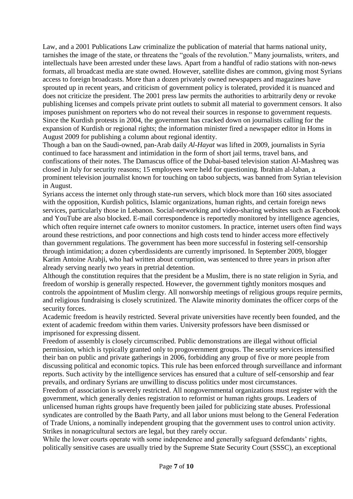Law, and a 2001 Publications Law criminalize the publication of material that harms national unity, tarnishes the image of the state, or threatens the "goals of the revolution." Many journalists, writers, and intellectuals have been arrested under these laws. Apart from a handful of radio stations with non-news formats, all broadcast media are state owned. However, satellite dishes are common, giving most Syrians access to foreign broadcasts. More than a dozen privately owned newspapers and magazines have sprouted up in recent years, and criticism of government policy is tolerated, provided it is nuanced and does not criticize the president. The 2001 press law permits the authorities to arbitrarily deny or revoke publishing licenses and compels private print outlets to submit all material to government censors. It also imposes punishment on reporters who do not reveal their sources in response to government requests. Since the Kurdish protests in 2004, the government has cracked down on journalists calling for the expansion of Kurdish or regional rights; the information minister fired a newspaper editor in Homs in August 2009 for publishing a column about regional identity.

Though a ban on the Saudi-owned, pan-Arab daily *Al-Hayat* was lifted in 2009, journalists in Syria continued to face harassment and intimidation in the form of short jail terms, travel bans, and confiscations of their notes. The Damascus office of the Dubai-based television station Al-Mashreq was closed in July for security reasons; 15 employees were held for questioning. Ibrahim al-Jaban, a prominent television journalist known for touching on taboo subjects, was banned from Syrian television in August.

Syrians access the internet only through state-run servers, which block more than 160 sites associated with the opposition, Kurdish politics, Islamic organizations, human rights, and certain foreign news services, particularly those in Lebanon. Social-networking and video-sharing websites such as Facebook and YouTube are also blocked. E-mail correspondence is reportedly monitored by intelligence agencies, which often require internet cafe owners to monitor customers. In practice, internet users often find ways around these restrictions, and poor connections and high costs tend to hinder access more effectively than government regulations. The government has been more successful in fostering self-censorship through intimidation; a dozen cyberdissidents are currently imprisoned. In September 2009, blogger Karim Antoine Arabji, who had written about corruption, was sentenced to three years in prison after already serving nearly two years in pretrial detention.

Although the constitution requires that the president be a Muslim, there is no state religion in Syria, and freedom of worship is generally respected. However, the government tightly monitors mosques and controls the appointment of Muslim clergy. All nonworship meetings of religious groups require permits, and religious fundraising is closely scrutinized. The Alawite minority dominates the officer corps of the security forces.

Academic freedom is heavily restricted. Several private universities have recently been founded, and the extent of academic freedom within them varies. University professors have been dismissed or imprisoned for expressing dissent.

Freedom of assembly is closely circumscribed. Public demonstrations are illegal without official permission, which is typically granted only to progovernment groups. The security services intensified their ban on public and private gatherings in 2006, forbidding any group of five or more people from discussing political and economic topics. This rule has been enforced through surveillance and informant reports. Such activity by the intelligence services has ensured that a culture of self-censorship and fear prevails, and ordinary Syrians are unwilling to discuss politics under most circumstances.

Freedom of association is severely restricted. All nongovernmental organizations must register with the government, which generally denies registration to reformist or human rights groups. Leaders of unlicensed human rights groups have frequently been jailed for publicizing state abuses. Professional syndicates are controlled by the Baath Party, and all labor unions must belong to the General Federation of Trade Unions, a nominally independent grouping that the government uses to control union activity. Strikes in nonagricultural sectors are legal, but they rarely occur.

While the lower courts operate with some independence and generally safeguard defendants' rights, politically sensitive cases are usually tried by the Supreme State Security Court (SSSC), an exceptional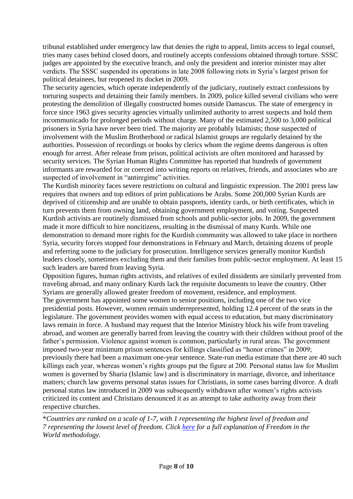tribunal established under emergency law that denies the right to appeal, limits access to legal counsel, tries many cases behind closed doors, and routinely accepts confessions obtained through torture. SSSC judges are appointed by the executive branch, and only the president and interior minister may alter verdicts. The SSSC suspended its operations in late 2008 following riots in Syria's largest prison for political detainees, but reopened its docket in 2009.

The security agencies, which operate independently of the judiciary, routinely extract confessions by torturing suspects and detaining their family members. In 2009, police killed several civilians who were protesting the demolition of illegally constructed homes outside Damascus. The state of emergency in force since 1963 gives security agencies virtually unlimited authority to arrest suspects and hold them incommunicado for prolonged periods without charge. Many of the estimated 2,500 to 3,000 political prisoners in Syria have never been tried. The majority are probably Islamists; those suspected of involvement with the Muslim Brotherhood or radical Islamist groups are regularly detained by the authorities. Possession of recordings or books by clerics whom the regime deems dangerous is often enough for arrest. After release from prison, political activists are often monitored and harassed by security services. The Syrian Human Rights Committee has reported that hundreds of government informants are rewarded for or coerced into writing reports on relatives, friends, and associates who are suspected of involvement in "antiregime" activities.

The Kurdish minority faces severe restrictions on cultural and linguistic expression. The 2001 press law requires that owners and top editors of print publications be Arabs. Some 200,000 Syrian Kurds are deprived of citizenship and are unable to obtain passports, identity cards, or birth certificates, which in turn prevents them from owning land, obtaining government employment, and voting. Suspected Kurdish activists are routinely dismissed from schools and public-sector jobs. In 2009, the government made it more difficult to hire noncitizens, resulting in the dismissal of many Kurds. While one demonstration to demand more rights for the Kurdish community was allowed to take place in northern Syria, security forces stopped four demonstrations in February and March, detaining dozens of people and referring some to the judiciary for prosecution. Intelligence services generally monitor Kurdish leaders closely, sometimes excluding them and their families from public-sector employment. At least 15 such leaders are barred from leaving Syria.

Opposition figures, human rights activists, and relatives of exiled dissidents are similarly prevented from traveling abroad, and many ordinary Kurds lack the requisite documents to leave the country. Other Syrians are generally allowed greater freedom of movement, residence, and employment. The government has appointed some women to senior positions, including one of the two vice presidential posts. However, women remain underrepresented, holding 12.4 percent of the seats in the legislature. The government provides women with equal access to education, but many discriminatory laws remain in force. A husband may request that the Interior Ministry block his wife from traveling abroad, and women are generally barred from leaving the country with their children without proof of the father's permission. Violence against women is common, particularly in rural areas. The government imposed two-year minimum prison sentences for killings classified as "honor crimes" in 2009; previously there had been a maximum one-year sentence. State-run media estimate that there are 40 such killings each year, whereas women's rights groups put the figure at 200. Personal status law for Muslim women is governed by Sharia (Islamic law) and is discriminatory in marriage, divorce, and inheritance matters; church law governs personal status issues for Christians, in some cases barring divorce. A draft personal status law introduced in 2009 was subsequently withdrawn after women's rights activists criticized its content and Christians denounced it as an attempt to take authority away from their respective churches.

\**Countries are ranked on a scale of 1-7, with 1 representing the highest level of freedom and 7 representing the lowest level of freedom. Click [here](http://www.freedomhouse.org/template.cfm?page=351&ana_page=354&year=2009) for a full explanation of Freedom in the World methodology.*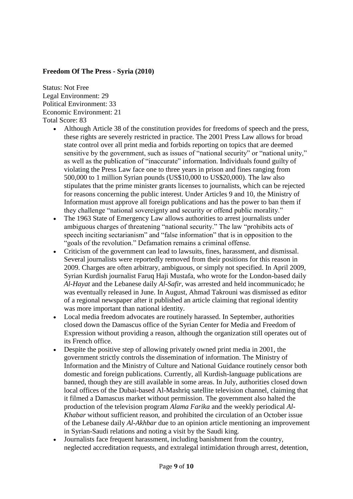#### **Freedom Of The Press - Syria (2010)**

Status: Not Free Legal Environment: 29 Political Environment: 33 Economic Environment: 21 Total Score: 83

- Although Article 38 of the constitution provides for freedoms of speech and the press, these rights are severely restricted in practice. The 2001 Press Law allows for broad state control over all print media and forbids reporting on topics that are deemed sensitive by the government, such as issues of "national security" or "national unity," as well as the publication of "inaccurate" information. Individuals found guilty of violating the Press Law face one to three years in prison and fines ranging from 500,000 to 1 million Syrian pounds (US\$10,000 to US\$20,000). The law also stipulates that the prime minister grants licenses to journalists, which can be rejected for reasons concerning the public interest. Under Articles 9 and 10, the Ministry of Information must approve all foreign publications and has the power to ban them if they challenge "national sovereignty and security or offend public morality."
- The 1963 State of Emergency Law allows authorities to arrest journalists under ambiguous charges of threatening "national security." The law "prohibits acts of speech inciting sectarianism" and "false information" that is in opposition to the "goals of the revolution." Defamation remains a criminal offense.
- Criticism of the government can lead to lawsuits, fines, harassment, and dismissal. Several journalists were reportedly removed from their positions for this reason in 2009. Charges are often arbitrary, ambiguous, or simply not specified. In April 2009, Syrian Kurdish journalist Faruq Haji Mustafa, who wrote for the London-based daily *Al-Hayat* and the Lebanese daily *Al-Safir*, was arrested and held incommunicado; he was eventually released in June. In August, Ahmad Takrouni was dismissed as editor of a regional newspaper after it published an article claiming that regional identity was more important than national identity.
- Local media freedom advocates are routinely harassed. In September, authorities closed down the Damascus office of the Syrian Center for Media and Freedom of Expression without providing a reason, although the organization still operates out of its French office.
- Despite the positive step of allowing privately owned print media in 2001, the government strictly controls the dissemination of information. The Ministry of Information and the Ministry of Culture and National Guidance routinely censor both domestic and foreign publications. Currently, all Kurdish-language publications are banned, though they are still available in some areas. In July, authorities closed down local offices of the Dubai-based Al-Mashriq satellite television channel, claiming that it filmed a Damascus market without permission. The government also halted the production of the television program *Alama Farika* and the weekly periodical *Al-Khabar* without sufficient reason, and prohibited the circulation of an October issue of the Lebanese daily *Al-Akhbar* due to an opinion article mentioning an improvement in Syrian-Saudi relations and noting a visit by the Saudi king.
- Journalists face frequent harassment, including banishment from the country, neglected accreditation requests, and extralegal intimidation through arrest, detention,